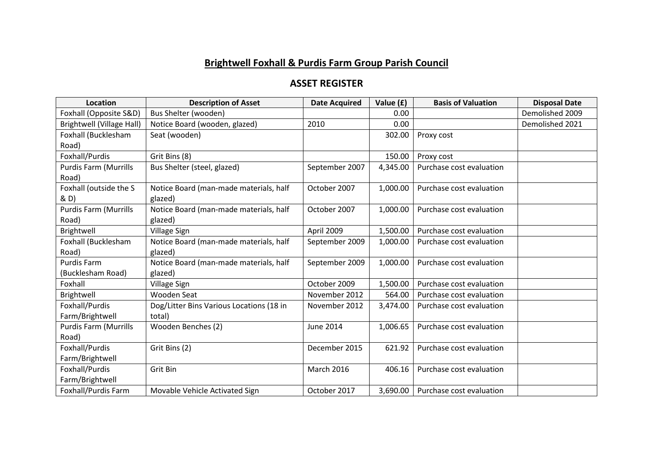## **Brightwell Foxhall & Purdis Farm Group Parish Council**

## **ASSET REGISTER**

| Location                     | <b>Description of Asset</b>              | <b>Date Acquired</b> | Value (£) | <b>Basis of Valuation</b> | <b>Disposal Date</b> |
|------------------------------|------------------------------------------|----------------------|-----------|---------------------------|----------------------|
| Foxhall (Opposite S&D)       | Bus Shelter (wooden)                     |                      | 0.00      |                           | Demolished 2009      |
| Brightwell (Village Hall)    | Notice Board (wooden, glazed)            | 2010                 | 0.00      |                           | Demolished 2021      |
| Foxhall (Bucklesham          | Seat (wooden)                            |                      | 302.00    | Proxy cost                |                      |
| Road)                        |                                          |                      |           |                           |                      |
| Foxhall/Purdis               | Grit Bins (8)                            |                      | 150.00    | Proxy cost                |                      |
| <b>Purdis Farm (Murrills</b> | Bus Shelter (steel, glazed)              | September 2007       | 4,345.00  | Purchase cost evaluation  |                      |
| Road)                        |                                          |                      |           |                           |                      |
| Foxhall (outside the S       | Notice Board (man-made materials, half   | October 2007         | 1,000.00  | Purchase cost evaluation  |                      |
| & D)                         | glazed)                                  |                      |           |                           |                      |
| <b>Purdis Farm (Murrills</b> | Notice Board (man-made materials, half   | October 2007         | 1,000.00  | Purchase cost evaluation  |                      |
| Road)                        | glazed)                                  |                      |           |                           |                      |
| Brightwell                   | Village Sign                             | April 2009           | 1,500.00  | Purchase cost evaluation  |                      |
| Foxhall (Bucklesham          | Notice Board (man-made materials, half   | September 2009       | 1,000.00  | Purchase cost evaluation  |                      |
| Road)                        | glazed)                                  |                      |           |                           |                      |
| <b>Purdis Farm</b>           | Notice Board (man-made materials, half   | September 2009       | 1,000.00  | Purchase cost evaluation  |                      |
| (Bucklesham Road)            | glazed)                                  |                      |           |                           |                      |
| Foxhall                      | Village Sign                             | October 2009         | 1,500.00  | Purchase cost evaluation  |                      |
| Brightwell                   | Wooden Seat                              | November 2012        | 564.00    | Purchase cost evaluation  |                      |
| Foxhall/Purdis               | Dog/Litter Bins Various Locations (18 in | November 2012        | 3,474.00  | Purchase cost evaluation  |                      |
| Farm/Brightwell              | total)                                   |                      |           |                           |                      |
| Purdis Farm (Murrills        | Wooden Benches (2)                       | <b>June 2014</b>     | 1,006.65  | Purchase cost evaluation  |                      |
| Road)                        |                                          |                      |           |                           |                      |
| Foxhall/Purdis               | Grit Bins (2)                            | December 2015        | 621.92    | Purchase cost evaluation  |                      |
| Farm/Brightwell              |                                          |                      |           |                           |                      |
| Foxhall/Purdis               | Grit Bin                                 | <b>March 2016</b>    | 406.16    | Purchase cost evaluation  |                      |
| Farm/Brightwell              |                                          |                      |           |                           |                      |
| Foxhall/Purdis Farm          | Movable Vehicle Activated Sign           | October 2017         | 3,690.00  | Purchase cost evaluation  |                      |